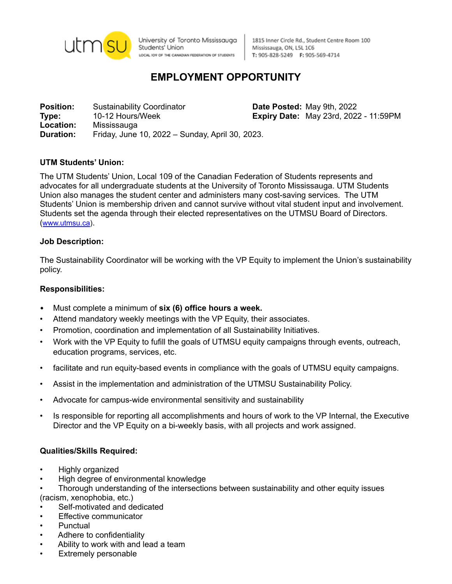

University of Toronto Mississauga Students' Union LOCAL IO9 OF THE CANADIAN FEDERATION OF STUDENTS

1815 Inner Circle Rd., Student Centre Room 100 Mississauga, ON, L5L 1C6 T: 905-828-5249 F: 905-569-4714

# **EMPLOYMENT OPPORTUNITY**

**Position:** Sustainability Coordinator **Date Posted:** May 9th, 2022 **Type:** 10-12 Hours/Week **Expiry Date:** May 23rd, 2022 - 11:59PM **Location:** Mississauga **Duration:** Friday, June 10, 2022 – Sunday, April 30, 2023.

# **UTM Students' Union:**

The UTM Students' Union, Local 109 of the Canadian Federation of Students represents and advocates for all undergraduate students at the University of Toronto Mississauga. UTM Students Union also manages the student center and administers many cost-saving services. The UTM Students' Union is membership driven and cannot survive without vital student input and involvement. Students set the agenda through their elected representatives on the UTMSU Board of Directors. ([www.utmsu.ca](http://www.utmsu.ca)).

### **Job Description:**

The Sustainability Coordinator will be working with the VP Equity to implement the Union's sustainability policy.

# **Responsibilities:**

- Must complete a minimum of **six (6) office hours a week.**
- Attend mandatory weekly meetings with the VP Equity, their associates.
- Promotion, coordination and implementation of all Sustainability Initiatives.
- Work with the VP Equity to fufill the goals of UTMSU equity campaigns through events, outreach, education programs, services, etc.
- facilitate and run equity-based events in compliance with the goals of UTMSU equity campaigns.
- Assist in the implementation and administration of the UTMSU Sustainability Policy.
- Advocate for campus-wide environmental sensitivity and sustainability
- Is responsible for reporting all accomplishments and hours of work to the VP Internal, the Executive Director and the VP Equity on a bi-weekly basis, with all projects and work assigned.

#### **Qualities/Skills Required:**

- Highly organized
- High degree of environmental knowledge
- Thorough understanding of the intersections between sustainability and other equity issues

(racism, xenophobia, etc.)

- Self-motivated and dedicated
- **Effective communicator**
- Punctual
- Adhere to confidentiality
- Ability to work with and lead a team
- **Extremely personable**